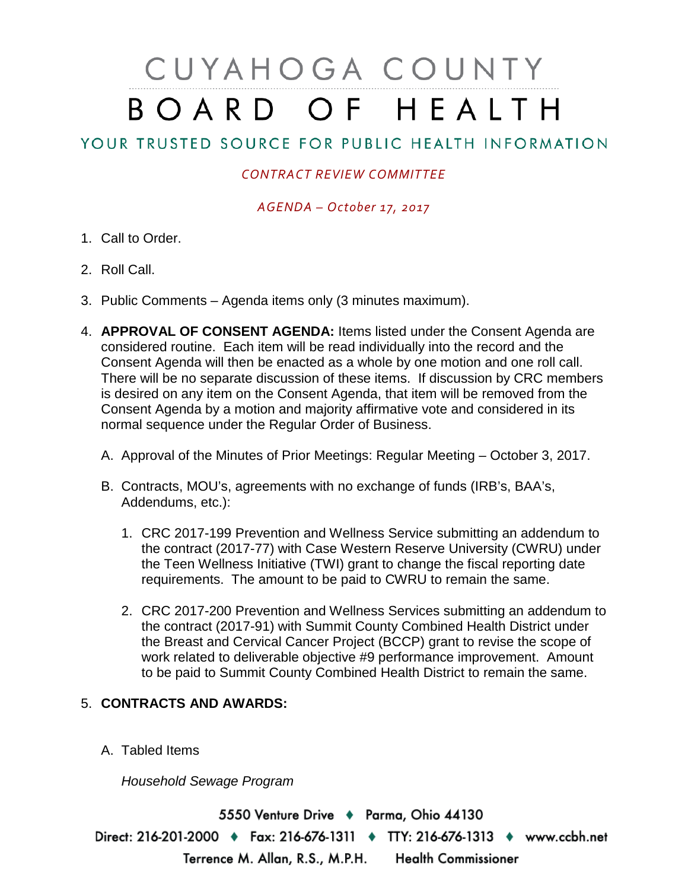# CUYAHOGA COUNTY BOARD OF HEALTH

## YOUR TRUSTED SOURCE FOR PUBLIC HEALTH INFORMATION

### *CONTRACT REVIEW COMMITTEE*

#### *AGENDA – October 17, 2017*

- 1. Call to Order.
- 2. Roll Call.
- 3. Public Comments Agenda items only (3 minutes maximum).
- 4. **APPROVAL OF CONSENT AGENDA:** Items listed under the Consent Agenda are considered routine. Each item will be read individually into the record and the Consent Agenda will then be enacted as a whole by one motion and one roll call. There will be no separate discussion of these items. If discussion by CRC members is desired on any item on the Consent Agenda, that item will be removed from the Consent Agenda by a motion and majority affirmative vote and considered in its normal sequence under the Regular Order of Business.
	- A. Approval of the Minutes of Prior Meetings: Regular Meeting October 3, 2017.
	- B. Contracts, MOU's, agreements with no exchange of funds (IRB's, BAA's, Addendums, etc.):
		- 1. CRC 2017-199 Prevention and Wellness Service submitting an addendum to the contract (2017-77) with Case Western Reserve University (CWRU) under the Teen Wellness Initiative (TWI) grant to change the fiscal reporting date requirements. The amount to be paid to CWRU to remain the same.
		- 2. CRC 2017-200 Prevention and Wellness Services submitting an addendum to the contract (2017-91) with Summit County Combined Health District under the Breast and Cervical Cancer Project (BCCP) grant to revise the scope of work related to deliverable objective #9 performance improvement. Amount to be paid to Summit County Combined Health District to remain the same.

#### 5. **CONTRACTS AND AWARDS:**

A. Tabled Items

*Household Sewage Program*

5550 Venture Drive + Parma, Ohio 44130 Direct: 216-201-2000 • Fax: 216-676-1311 • TTY: 216-676-1313 • www.ccbh.net Terrence M. Allan, R.S., M.P.H. Health Commissioner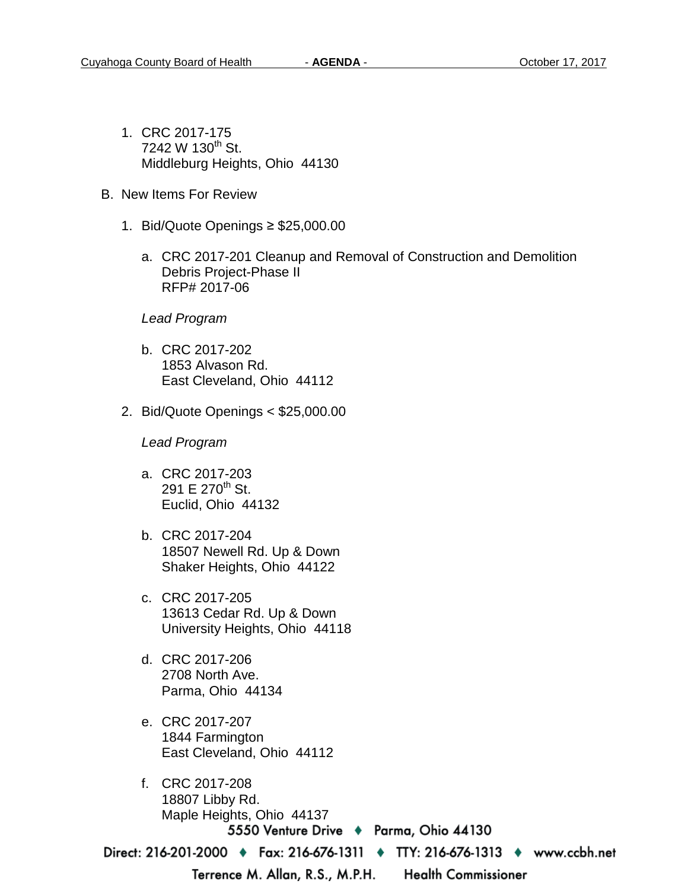- 1. CRC 2017-175 7242 W  $130^{th}$  St. Middleburg Heights, Ohio 44130
- B. New Items For Review
	- 1. Bid/Quote Openings ≥ \$25,000.00
		- a. CRC 2017-201 Cleanup and Removal of Construction and Demolition Debris Project-Phase II RFP# 2017-06

#### *Lead Program*

- b. CRC 2017-202 1853 Alvason Rd. East Cleveland, Ohio 44112
- 2. Bid/Quote Openings < \$25,000.00

*Lead Program* 

- a. CRC 2017-203 291 E 270<sup>th</sup> St. Euclid, Ohio 44132
- b. CRC 2017-204 18507 Newell Rd. Up & Down Shaker Heights, Ohio 44122
- c. CRC 2017-205 13613 Cedar Rd. Up & Down University Heights, Ohio 44118
- d. CRC 2017-206 2708 North Ave. Parma, Ohio 44134
- e. CRC 2017-207 1844 Farmington East Cleveland, Ohio 44112
- f. CRC 2017-208 18807 Libby Rd. Maple Heights, Ohio 441375550 Venture Drive ♦ Parma, Ohio 44130

Direct: 216-201-2000 • Fax: 216-676-1311 • TTY: 216-676-1313 • www.ccbh.net

Terrence M. Allan, R.S., M.P.H.

**Health Commissioner**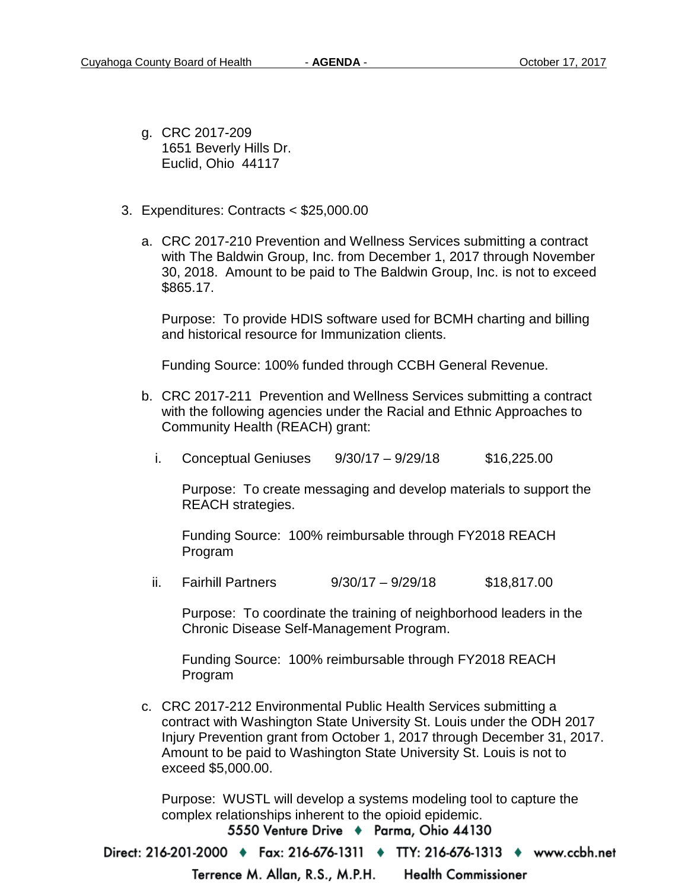- g. CRC 2017-209 1651 Beverly Hills Dr. Euclid, Ohio 44117
- 3. Expenditures: Contracts < \$25,000.00
	- a. CRC 2017-210 Prevention and Wellness Services submitting a contract with The Baldwin Group, Inc. from December 1, 2017 through November 30, 2018. Amount to be paid to The Baldwin Group, Inc. is not to exceed \$865.17.

Purpose: To provide HDIS software used for BCMH charting and billing and historical resource for Immunization clients.

Funding Source: 100% funded through CCBH General Revenue.

- b. CRC 2017-211 Prevention and Wellness Services submitting a contract with the following agencies under the Racial and Ethnic Approaches to Community Health (REACH) grant:
	- i. Conceptual Geniuses  $9/30/17 9/29/18$  \$16,225.00

Purpose: To create messaging and develop materials to support the REACH strategies.

Funding Source: 100% reimbursable through FY2018 REACH Program

ii. Fairhill Partners 9/30/17 – 9/29/18 \$18,817.00

Purpose: To coordinate the training of neighborhood leaders in the Chronic Disease Self-Management Program.

Funding Source: 100% reimbursable through FY2018 REACH Program

c. CRC 2017-212 Environmental Public Health Services submitting a contract with Washington State University St. Louis under the ODH 2017 Injury Prevention grant from October 1, 2017 through December 31, 2017. Amount to be paid to Washington State University St. Louis is not to exceed \$5,000.00.

Purpose: WUSTL will develop a systems modeling tool to capture the complex relationships inherent to the opioid epidemic.

5550 Venture Drive + Parma, Ohio 44130

Direct: 216-201-2000 ♦ Fax: 216-676-1311 ♦ TTY: 216-676-1313 ♦ www.ccbh.net

Terrence M. Allan, R.S., M.P.H. **Health Commissioner**